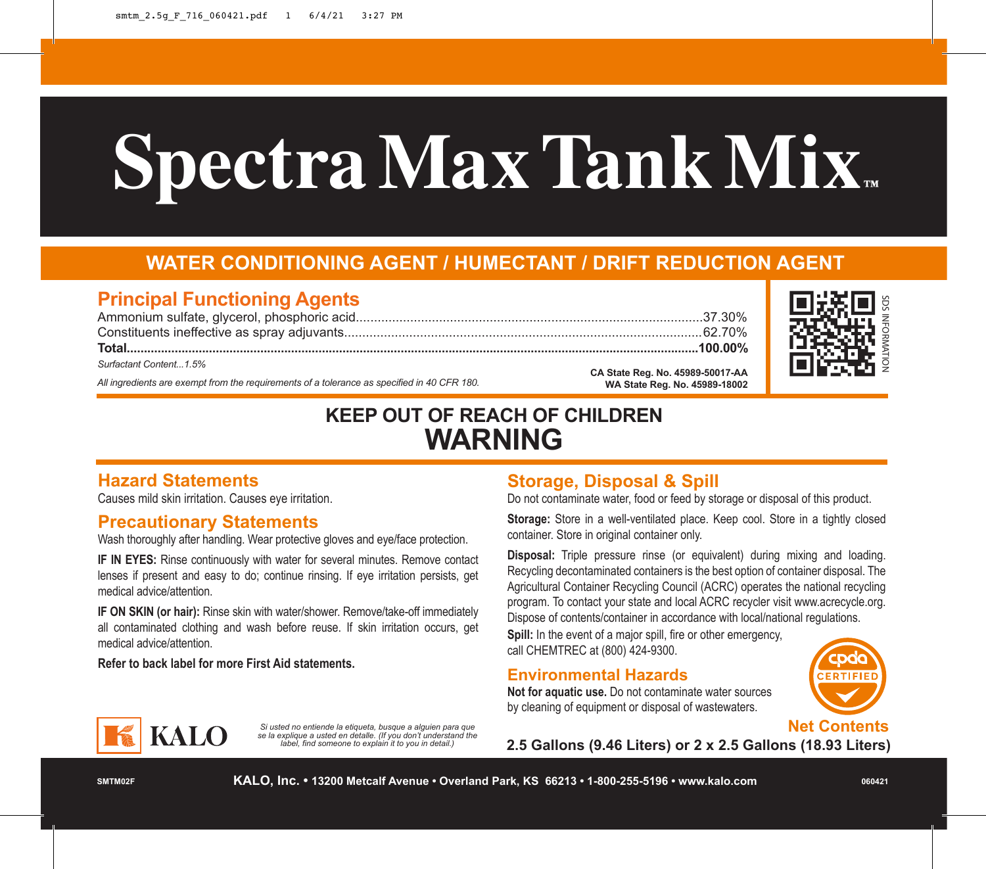# **Spectra Max Tank Mix**

## **WATER CONDITIONING AGENT / HUMECTANT / DRIFT REDUCTION AGENT**

### **Principal Functioning Agents**

*All ingredients are exempt from the requirements of a tolerance as specified in 40 CFR 180.* **CA State Reg. No. 45989-50017-AA WA State Reg. No. 45989-18002** Ammonium sulfate, glycerol, phosphoric acid................................................................................................37.30% Constituents ineffective as spray adjuvants...................................................................................................62.70% **Total.......................................................................................................................................................................100.00%** *Surfactant Content...1.5%*



## **KEEP OUT OF REACH OF CHILDREN WARNING**

#### **Hazard Statements**

Causes mild skin irritation. Causes eye irritation.

#### **Precautionary Statements**

Wash thoroughly after handling. Wear protective gloves and eye/face protection.

**IF IN EYES:** Rinse continuously with water for several minutes. Remove contact lenses if present and easy to do; continue rinsing. If eye irritation persists, get medical advice/attention.

**IF ON SKIN (or hair):** Rinse skin with water/shower. Remove/take-off immediately all contaminated clothing and wash before reuse. If skin irritation occurs, get medical advice/attention.

> *Si usted no entiende la etiqueta, busque a alguien para que se la explique a usted en detalle. (If you don't understand the label, find someone to explain it to you in detail.)*

**Refer to back label for more First Aid statements.**

**KALO** 

#### **Storage, Disposal & Spill**

Do not contaminate water, food or feed by storage or disposal of this product.

**Storage:** Store in a well-ventilated place. Keep cool. Store in a tightly closed container. Store in original container only.

**Disposal:** Triple pressure rinse (or equivalent) during mixing and loading. Recycling decontaminated containers is the best option of container disposal. The Agricultural Container Recycling Council (ACRC) operates the national recycling program. To contact your state and local ACRC recycler visit www.acrecycle.org. Dispose of contents/container in accordance with local/national regulations.

**Spill:** In the event of a major spill, fire or other emergency, call CHEMTREC at (800) 424-9300.

#### **Environmental Hazards**

**Not for aquatic use.** Do not contaminate water sources by cleaning of equipment or disposal of wastewaters.





**2.5 Gallons (9.46 Liters) or 2 x 2.5 Gallons (18.93 Liters)**

**SMTM02F**

**KALO, Inc. • 13200 Metcalf Avenue • Overland Park, KS 66213 • 1-800-255-5196 • www.kalo.com**

**060421**